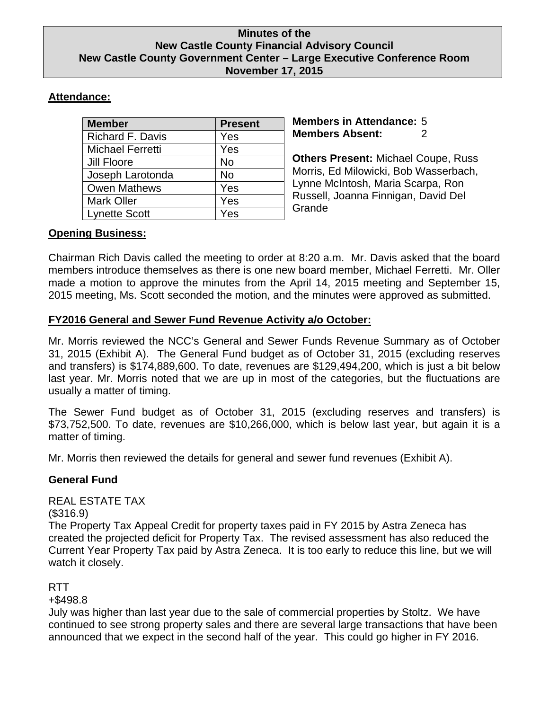### **Minutes of the New Castle County Financial Advisory Council New Castle County Government Center – Large Executive Conference Room November 17, 2015**

# **Attendance:**

| <b>Member</b>           | <b>Present</b> |
|-------------------------|----------------|
| <b>Richard F. Davis</b> | Yes            |
| Michael Ferretti        | Yes            |
| Jill Floore             | <b>No</b>      |
| Joseph Larotonda        | No             |
| <b>Owen Mathews</b>     | Yes            |
| <b>Mark Oller</b>       | Yes            |
| <b>Lynette Scott</b>    | Yes            |

**Members in Attendance:** 5 **Members Absent:** 2

**Others Present:** Michael Coupe, Russ Morris, Ed Milowicki, Bob Wasserbach, Lynne McIntosh, Maria Scarpa, Ron Russell, Joanna Finnigan, David Del Grande

# **Opening Business:**

Chairman Rich Davis called the meeting to order at 8:20 a.m. Mr. Davis asked that the board members introduce themselves as there is one new board member, Michael Ferretti. Mr. Oller made a motion to approve the minutes from the April 14, 2015 meeting and September 15, 2015 meeting, Ms. Scott seconded the motion, and the minutes were approved as submitted.

## **FY2016 General and Sewer Fund Revenue Activity a/o October:**

Mr. Morris reviewed the NCC's General and Sewer Funds Revenue Summary as of October 31, 2015 (Exhibit A). The General Fund budget as of October 31, 2015 (excluding reserves and transfers) is \$174,889,600. To date, revenues are \$129,494,200, which is just a bit below last year. Mr. Morris noted that we are up in most of the categories, but the fluctuations are usually a matter of timing.

The Sewer Fund budget as of October 31, 2015 (excluding reserves and transfers) is \$73,752,500. To date, revenues are \$10,266,000, which is below last year, but again it is a matter of timing.

Mr. Morris then reviewed the details for general and sewer fund revenues (Exhibit A).

## **General Fund**

REAL ESTATE TAX

(\$316.9)

The Property Tax Appeal Credit for property taxes paid in FY 2015 by Astra Zeneca has created the projected deficit for Property Tax. The revised assessment has also reduced the Current Year Property Tax paid by Astra Zeneca. It is too early to reduce this line, but we will watch it closely.

## RTT

+\$498.8

July was higher than last year due to the sale of commercial properties by Stoltz. We have continued to see strong property sales and there are several large transactions that have been announced that we expect in the second half of the year. This could go higher in FY 2016.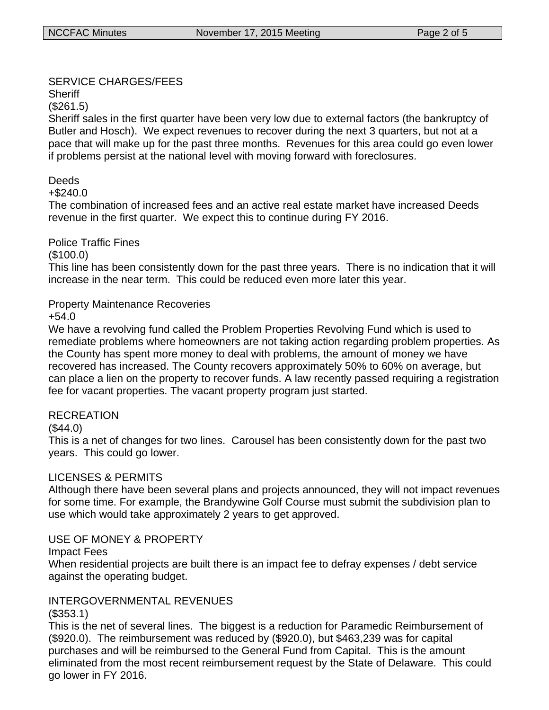### SERVICE CHARGES/FEES

**Sheriff** 

(\$261.5)

Sheriff sales in the first quarter have been very low due to external factors (the bankruptcy of Butler and Hosch). We expect revenues to recover during the next 3 quarters, but not at a pace that will make up for the past three months. Revenues for this area could go even lower if problems persist at the national level with moving forward with foreclosures.

## Deeds

+\$240.0

The combination of increased fees and an active real estate market have increased Deeds revenue in the first quarter. We expect this to continue during FY 2016.

Police Traffic Fines

(\$100.0)

This line has been consistently down for the past three years. There is no indication that it will increase in the near term. This could be reduced even more later this year.

## Property Maintenance Recoveries

+54.0

We have a revolving fund called the Problem Properties Revolving Fund which is used to remediate problems where homeowners are not taking action regarding problem properties. As the County has spent more money to deal with problems, the amount of money we have recovered has increased. The County recovers approximately 50% to 60% on average, but can place a lien on the property to recover funds. A law recently passed requiring a registration fee for vacant properties. The vacant property program just started.

### RECREATION

 $($44.0)$ 

This is a net of changes for two lines. Carousel has been consistently down for the past two years. This could go lower.

## LICENSES & PERMITS

Although there have been several plans and projects announced, they will not impact revenues for some time. For example, the Brandywine Golf Course must submit the subdivision plan to use which would take approximately 2 years to get approved.

### USE OF MONEY & PROPERTY

Impact Fees

When residential projects are built there is an impact fee to defray expenses / debt service against the operating budget.

# INTERGOVERNMENTAL REVENUES

(\$353.1)

This is the net of several lines. The biggest is a reduction for Paramedic Reimbursement of (\$920.0). The reimbursement was reduced by (\$920.0), but \$463,239 was for capital purchases and will be reimbursed to the General Fund from Capital. This is the amount eliminated from the most recent reimbursement request by the State of Delaware. This could go lower in FY 2016.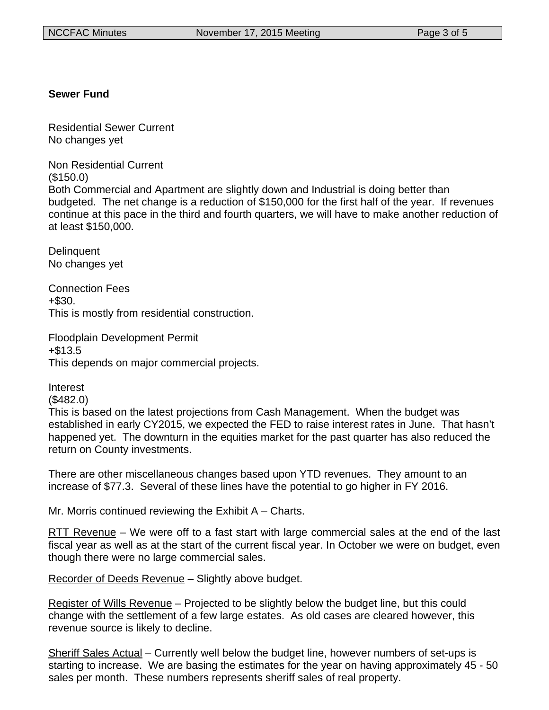### **Sewer Fund**

Residential Sewer Current No changes yet

Non Residential Current

(\$150.0)

Interest

Both Commercial and Apartment are slightly down and Industrial is doing better than budgeted. The net change is a reduction of \$150,000 for the first half of the year. If revenues continue at this pace in the third and fourth quarters, we will have to make another reduction of at least \$150,000.

**Delinquent** No changes yet

Connection Fees +\$30. This is mostly from residential construction.

Floodplain Development Permit +\$13.5 This depends on major commercial projects.

(\$482.0) This is based on the latest projections from Cash Management. When the budget was established in early CY2015, we expected the FED to raise interest rates in June. That hasn't happened yet. The downturn in the equities market for the past quarter has also reduced the return on County investments.

There are other miscellaneous changes based upon YTD revenues. They amount to an increase of \$77.3. Several of these lines have the potential to go higher in FY 2016.

Mr. Morris continued reviewing the Exhibit A – Charts.

RTT Revenue – We were off to a fast start with large commercial sales at the end of the last fiscal year as well as at the start of the current fiscal year. In October we were on budget, even though there were no large commercial sales.

Recorder of Deeds Revenue – Slightly above budget.

Register of Wills Revenue – Projected to be slightly below the budget line, but this could change with the settlement of a few large estates. As old cases are cleared however, this revenue source is likely to decline.

Sheriff Sales Actual – Currently well below the budget line, however numbers of set-ups is starting to increase. We are basing the estimates for the year on having approximately 45 - 50 sales per month. These numbers represents sheriff sales of real property.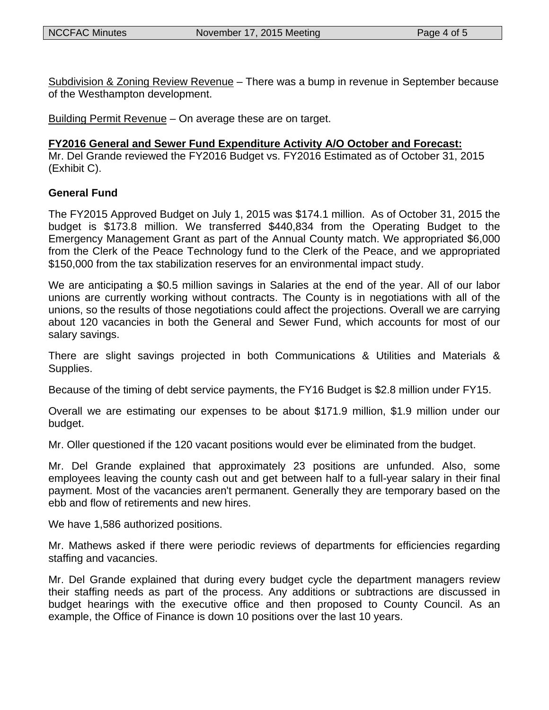Subdivision & Zoning Review Revenue – There was a bump in revenue in September because of the Westhampton development.

Building Permit Revenue – On average these are on target.

#### **FY2016 General and Sewer Fund Expenditure Activity A/O October and Forecast:**

Mr. Del Grande reviewed the FY2016 Budget vs. FY2016 Estimated as of October 31, 2015 (Exhibit C).

#### **General Fund**

The FY2015 Approved Budget on July 1, 2015 was \$174.1 million. As of October 31, 2015 the budget is \$173.8 million. We transferred \$440,834 from the Operating Budget to the Emergency Management Grant as part of the Annual County match. We appropriated \$6,000 from the Clerk of the Peace Technology fund to the Clerk of the Peace, and we appropriated \$150,000 from the tax stabilization reserves for an environmental impact study.

We are anticipating a \$0.5 million savings in Salaries at the end of the year. All of our labor unions are currently working without contracts. The County is in negotiations with all of the unions, so the results of those negotiations could affect the projections. Overall we are carrying about 120 vacancies in both the General and Sewer Fund, which accounts for most of our salary savings.

There are slight savings projected in both Communications & Utilities and Materials & Supplies.

Because of the timing of debt service payments, the FY16 Budget is \$2.8 million under FY15.

Overall we are estimating our expenses to be about \$171.9 million, \$1.9 million under our budget.

Mr. Oller questioned if the 120 vacant positions would ever be eliminated from the budget.

Mr. Del Grande explained that approximately 23 positions are unfunded. Also, some employees leaving the county cash out and get between half to a full-year salary in their final payment. Most of the vacancies aren't permanent. Generally they are temporary based on the ebb and flow of retirements and new hires.

We have 1,586 authorized positions.

Mr. Mathews asked if there were periodic reviews of departments for efficiencies regarding staffing and vacancies.

Mr. Del Grande explained that during every budget cycle the department managers review their staffing needs as part of the process. Any additions or subtractions are discussed in budget hearings with the executive office and then proposed to County Council. As an example, the Office of Finance is down 10 positions over the last 10 years.